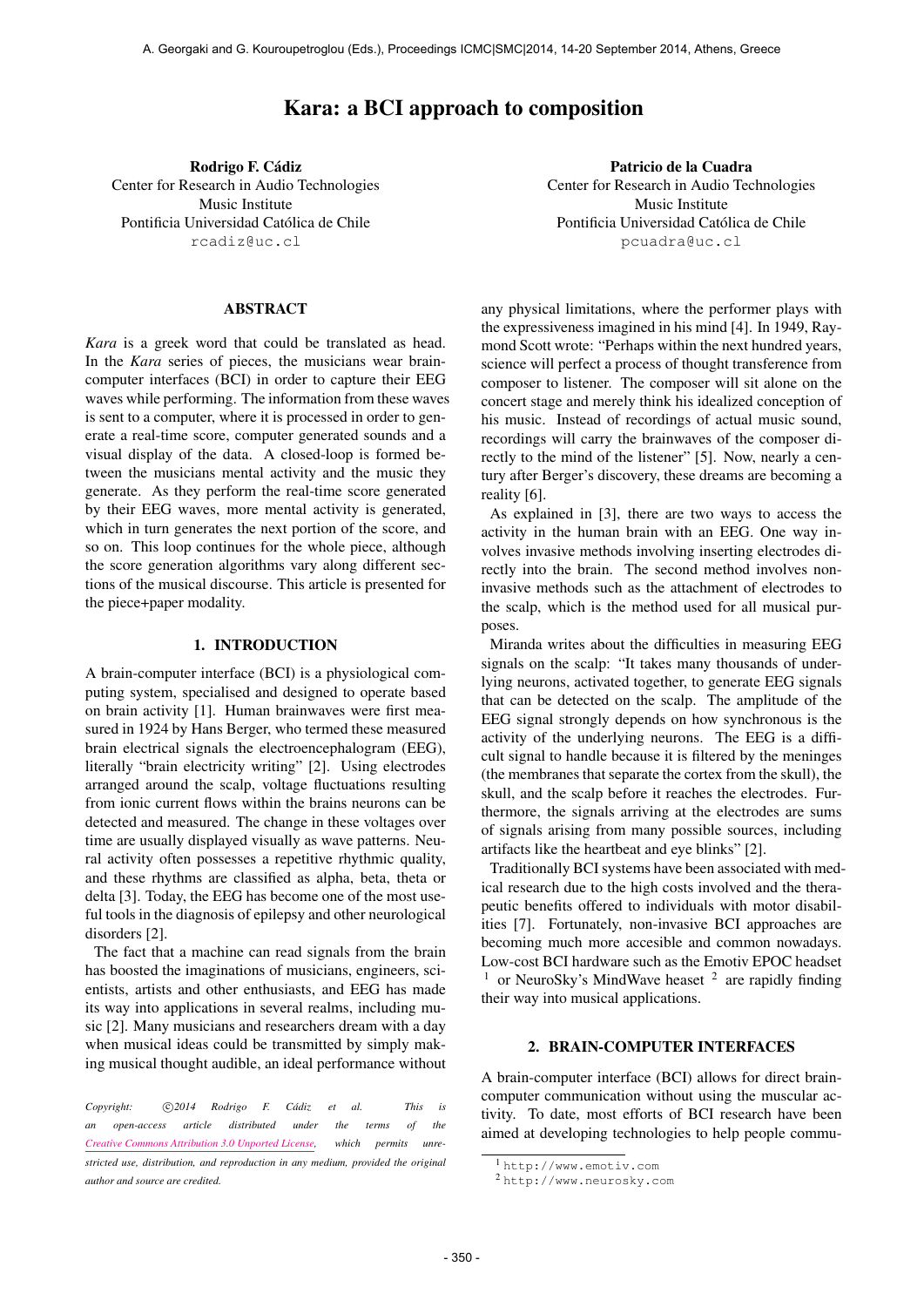# Kara: a BCI approach to composition

Rodrigo F. Cádiz Center for Research in Audio Technologies Music Institute Pontificia Universidad Católica de Chile [rcadiz@uc.cl](mailto:rcadiz@uc.cl)

## ABSTRACT

*Kara* is a greek word that could be translated as head. In the *Kara* series of pieces, the musicians wear braincomputer interfaces (BCI) in order to capture their EEG waves while performing. The information from these waves is sent to a computer, where it is processed in order to generate a real-time score, computer generated sounds and a visual display of the data. A closed-loop is formed between the musicians mental activity and the music they generate. As they perform the real-time score generated by their EEG waves, more mental activity is generated, which in turn generates the next portion of the score, and so on. This loop continues for the whole piece, although the score generation algorithms vary along different sections of the musical discourse. This article is presented for the piece+paper modality.

## 1. INTRODUCTION

A brain-computer interface (BCI) is a physiological computing system, specialised and designed to operate based on brain activity [1]. Human brainwaves were first measured in 1924 by Hans Berger, who termed these measured brain electrical signals the electroencephalogram (EEG), literally "brain electricity writing" [2]. Using electrodes arranged around the scalp, voltage fluctuations resulting from ionic current flows within the brains neurons can be detected and measured. The change in these voltages over time are usually displayed visually as wave patterns. Neural activity often possesses a repetitive rhythmic quality, and these rhythms are classified as alpha, beta, theta or delta [3]. Today, the EEG has become one of the most useful tools in the diagnosis of epilepsy and other neurological disorders [2].

The fact that a machine can read signals from the brain has boosted the imaginations of musicians, engineers, scientists, artists and other enthusiasts, and EEG has made its way into applications in several realms, including music [2]. Many musicians and researchers dream with a day when musical ideas could be transmitted by simply making musical thought audible, an ideal performance without

Patricio de la Cuadra Center for Research in Audio Technologies Music Institute Pontificia Universidad Católica de Chile [pcuadra@uc.cl](mailto:pcuadra@uc.cl)

any physical limitations, where the performer plays with the expressiveness imagined in his mind [4]. In 1949, Raymond Scott wrote: "Perhaps within the next hundred years, science will perfect a process of thought transference from composer to listener. The composer will sit alone on the concert stage and merely think his idealized conception of his music. Instead of recordings of actual music sound, recordings will carry the brainwaves of the composer directly to the mind of the listener" [5]. Now, nearly a century after Berger's discovery, these dreams are becoming a reality [6].

As explained in [3], there are two ways to access the activity in the human brain with an EEG. One way involves invasive methods involving inserting electrodes directly into the brain. The second method involves noninvasive methods such as the attachment of electrodes to the scalp, which is the method used for all musical purposes.

Miranda writes about the difficulties in measuring EEG signals on the scalp: "It takes many thousands of underlying neurons, activated together, to generate EEG signals that can be detected on the scalp. The amplitude of the EEG signal strongly depends on how synchronous is the activity of the underlying neurons. The EEG is a difficult signal to handle because it is filtered by the meninges (the membranes that separate the cortex from the skull), the skull, and the scalp before it reaches the electrodes. Furthermore, the signals arriving at the electrodes are sums of signals arising from many possible sources, including artifacts like the heartbeat and eye blinks" [2].

Traditionally BCI systems have been associated with medical research due to the high costs involved and the therapeutic benefits offered to individuals with motor disabilities [7]. Fortunately, non-invasive BCI approaches are becoming much more accesible and common nowadays. Low-cost BCI hardware such as the Emotiv EPOC headset  $1$  or NeuroSky's MindWave heaset  $2$  are rapidly finding their way into musical applications.

## 2. BRAIN-COMPUTER INTERFACES

A brain-computer interface (BCI) allows for direct braincomputer communication without using the muscular activity. To date, most efforts of BCI research have been aimed at developing technologies to help people commu-

*Copyright:*  $\bigcirc$  2014 Rodrigo F. Cádiz et al. This is *an open-access article distributed under the terms of the [Creative Commons Attribution 3.0 Unported License,](http://creativecommons.org/licenses/by/3.0/) which permits unrestricted use, distribution, and reproduction in any medium, provided the original author and source are credited.*

<sup>1</sup> <http://www.emotiv.com>

<sup>2</sup> <http://www.neurosky.com>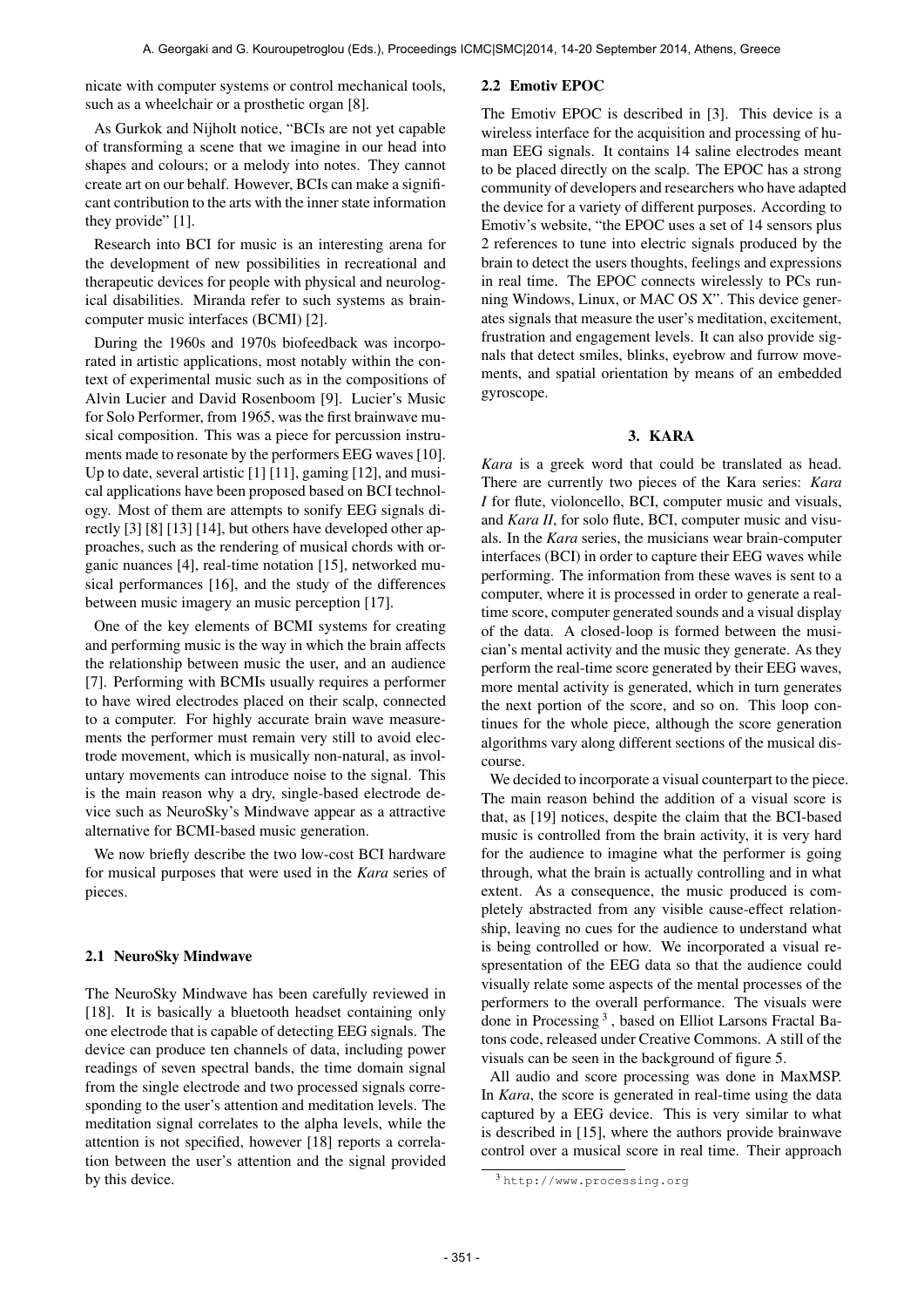nicate with computer systems or control mechanical tools, such as a wheelchair or a prosthetic organ [8].

As Gurkok and Nijholt notice, "BCIs are not yet capable of transforming a scene that we imagine in our head into shapes and colours; or a melody into notes. They cannot create art on our behalf. However, BCIs can make a significant contribution to the arts with the inner state information they provide" [1].

Research into BCI for music is an interesting arena for the development of new possibilities in recreational and therapeutic devices for people with physical and neurological disabilities. Miranda refer to such systems as braincomputer music interfaces (BCMI) [2].

During the 1960s and 1970s biofeedback was incorporated in artistic applications, most notably within the context of experimental music such as in the compositions of Alvin Lucier and David Rosenboom [9]. Lucier's Music for Solo Performer, from 1965, was the first brainwave musical composition. This was a piece for percussion instruments made to resonate by the performers EEG waves [10]. Up to date, several artistic [1] [11], gaming [12], and musical applications have been proposed based on BCI technology. Most of them are attempts to sonify EEG signals directly [3] [8] [13] [14], but others have developed other approaches, such as the rendering of musical chords with organic nuances [4], real-time notation [15], networked musical performances [16], and the study of the differences between music imagery an music perception [17].

One of the key elements of BCMI systems for creating and performing music is the way in which the brain affects the relationship between music the user, and an audience [7]. Performing with BCMIs usually requires a performer to have wired electrodes placed on their scalp, connected to a computer. For highly accurate brain wave measurements the performer must remain very still to avoid electrode movement, which is musically non-natural, as involuntary movements can introduce noise to the signal. This is the main reason why a dry, single-based electrode device such as NeuroSky's Mindwave appear as a attractive alternative for BCMI-based music generation.

We now briefly describe the two low-cost BCI hardware for musical purposes that were used in the *Kara* series of pieces.

## 2.1 NeuroSky Mindwave

The NeuroSky Mindwave has been carefully reviewed in [18]. It is basically a bluetooth headset containing only one electrode that is capable of detecting EEG signals. The device can produce ten channels of data, including power readings of seven spectral bands, the time domain signal from the single electrode and two processed signals corresponding to the user's attention and meditation levels. The meditation signal correlates to the alpha levels, while the attention is not specified, however [18] reports a correlation between the user's attention and the signal provided by this device.

#### 2.2 Emotiv EPOC

The Emotiv EPOC is described in [3]. This device is a wireless interface for the acquisition and processing of human EEG signals. It contains 14 saline electrodes meant to be placed directly on the scalp. The EPOC has a strong community of developers and researchers who have adapted the device for a variety of different purposes. According to Emotiv's website, "the EPOC uses a set of 14 sensors plus 2 references to tune into electric signals produced by the brain to detect the users thoughts, feelings and expressions in real time. The EPOC connects wirelessly to PCs running Windows, Linux, or MAC OS X". This device generates signals that measure the user's meditation, excitement, frustration and engagement levels. It can also provide signals that detect smiles, blinks, eyebrow and furrow movements, and spatial orientation by means of an embedded gyroscope.

## 3. KARA

*Kara* is a greek word that could be translated as head. There are currently two pieces of the Kara series: *Kara I* for flute, violoncello, BCI, computer music and visuals, and *Kara II*, for solo flute, BCI, computer music and visuals. In the *Kara* series, the musicians wear brain-computer interfaces (BCI) in order to capture their EEG waves while performing. The information from these waves is sent to a computer, where it is processed in order to generate a realtime score, computer generated sounds and a visual display of the data. A closed-loop is formed between the musician's mental activity and the music they generate. As they perform the real-time score generated by their EEG waves, more mental activity is generated, which in turn generates the next portion of the score, and so on. This loop continues for the whole piece, although the score generation algorithms vary along different sections of the musical discourse.

We decided to incorporate a visual counterpart to the piece. The main reason behind the addition of a visual score is that, as [19] notices, despite the claim that the BCI-based music is controlled from the brain activity, it is very hard for the audience to imagine what the performer is going through, what the brain is actually controlling and in what extent. As a consequence, the music produced is completely abstracted from any visible cause-effect relationship, leaving no cues for the audience to understand what is being controlled or how. We incorporated a visual respresentation of the EEG data so that the audience could visually relate some aspects of the mental processes of the performers to the overall performance. The visuals were done in Processing<sup>3</sup>, based on Elliot Larsons Fractal Batons code, released under Creative Commons. A still of the visuals can be seen in the background of figure 5.

All audio and score processing was done in MaxMSP. In *Kara*, the score is generated in real-time using the data captured by a EEG device. This is very similar to what is described in [15], where the authors provide brainwave control over a musical score in real time. Their approach

<sup>3</sup> <http://www.processing.org>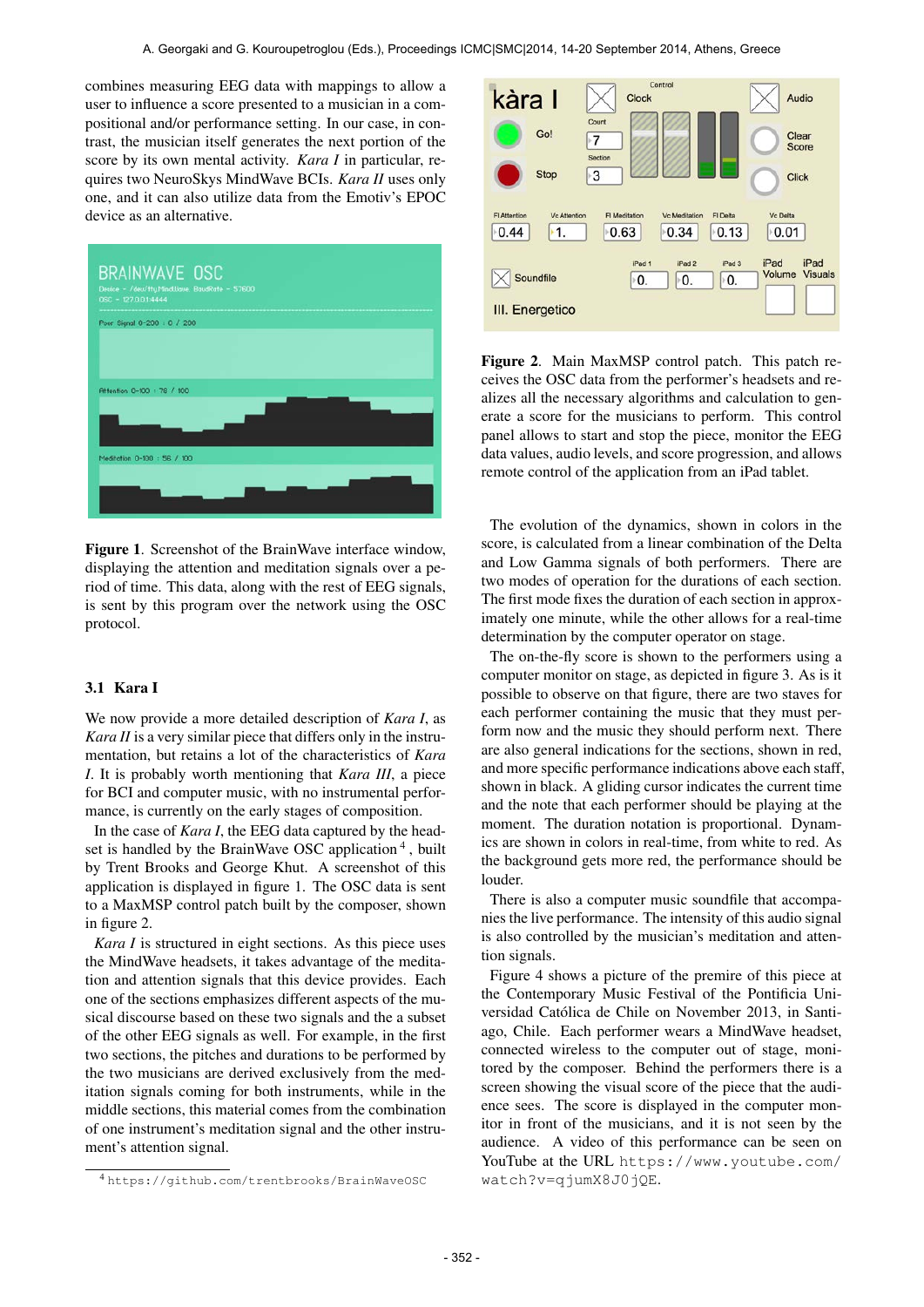combines measuring EEG data with mappings to allow a user to influence a score presented to a musician in a compositional and/or performance setting. In our case, in contrast, the musician itself generates the next portion of the score by its own mental activity. *Kara I* in particular, requires two NeuroSkys MindWave BCIs. *Kara II* uses only one, and it can also utilize data from the Emotiv's EPOC device as an alternative.



Figure 1. Screenshot of the BrainWave interface window, displaying the attention and meditation signals over a period of time. This data, along with the rest of EEG signals, is sent by this program over the network using the OSC protocol.

## 3.1 Kara I

We now provide a more detailed description of *Kara I*, as *Kara II* is a very similar piece that differs only in the instrumentation, but retains a lot of the characteristics of *Kara I*. It is probably worth mentioning that *Kara III*, a piece for BCI and computer music, with no instrumental performance, is currently on the early stages of composition.

In the case of *Kara I*, the EEG data captured by the headset is handled by the BrainWave OSC application<sup>4</sup>, built by Trent Brooks and George Khut. A screenshot of this application is displayed in figure 1. The OSC data is sent to a MaxMSP control patch built by the composer, shown in figure 2.

*Kara I* is structured in eight sections. As this piece uses the MindWave headsets, it takes advantage of the meditation and attention signals that this device provides. Each one of the sections emphasizes different aspects of the musical discourse based on these two signals and the a subset of the other EEG signals as well. For example, in the first two sections, the pitches and durations to be performed by the two musicians are derived exclusively from the meditation signals coming for both instruments, while in the middle sections, this material comes from the combination of one instrument's meditation signal and the other instrument's attention signal.



Figure 2. Main MaxMSP control patch. This patch receives the OSC data from the performer's headsets and realizes all the necessary algorithms and calculation to generate a score for the musicians to perform. This control panel allows to start and stop the piece, monitor the EEG data values, audio levels, and score progression, and allows remote control of the application from an iPad tablet.

The evolution of the dynamics, shown in colors in the score, is calculated from a linear combination of the Delta and Low Gamma signals of both performers. There are two modes of operation for the durations of each section. The first mode fixes the duration of each section in approximately one minute, while the other allows for a real-time determination by the computer operator on stage.

The on-the-fly score is shown to the performers using a computer monitor on stage, as depicted in figure 3. As is it possible to observe on that figure, there are two staves for each performer containing the music that they must perform now and the music they should perform next. There are also general indications for the sections, shown in red, and more specific performance indications above each staff, shown in black. A gliding cursor indicates the current time and the note that each performer should be playing at the moment. The duration notation is proportional. Dynamics are shown in colors in real-time, from white to red. As the background gets more red, the performance should be louder.

There is also a computer music soundfile that accompanies the live performance. The intensity of this audio signal is also controlled by the musician's meditation and attention signals.

Figure 4 shows a picture of the premire of this piece at the Contemporary Music Festival of the Pontificia Universidad Católica de Chile on November 2013, in Santiago, Chile. Each performer wears a MindWave headset, connected wireless to the computer out of stage, monitored by the composer. Behind the performers there is a screen showing the visual score of the piece that the audience sees. The score is displayed in the computer monitor in front of the musicians, and it is not seen by the audience. A video of this performance can be seen on YouTube at the URL [https://www.youtube.com/](https://www.youtube.com/watch?v=qjumX8J0jQE) [watch?v=qjumX8J0jQE](https://www.youtube.com/watch?v=qjumX8J0jQE).

<sup>4</sup> <https://github.com/trentbrooks/BrainWaveOSC>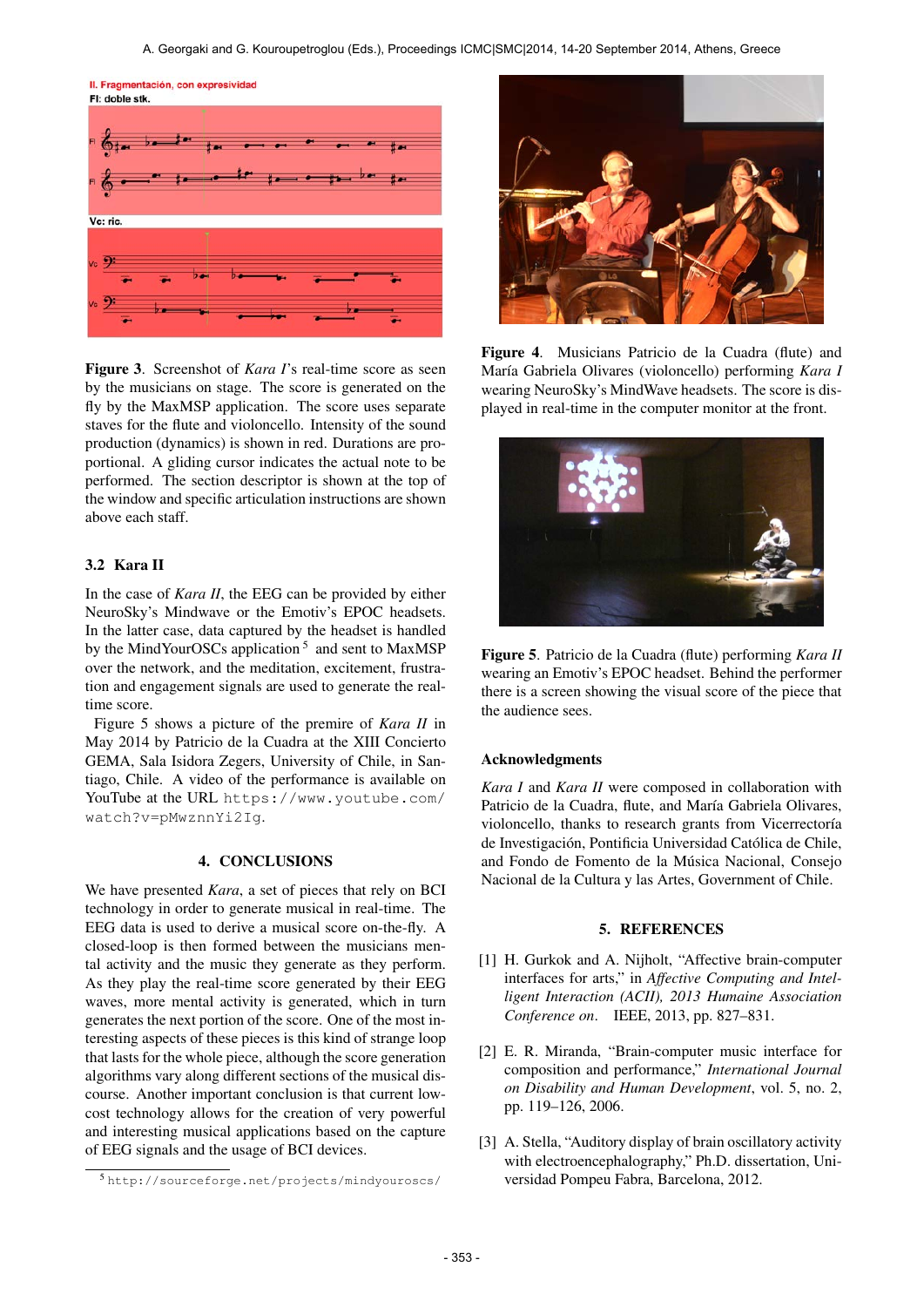II. Fragmentación, con expresividad



Figure 3. Screenshot of *Kara I*'s real-time score as seen by the musicians on stage. The score is generated on the fly by the MaxMSP application. The score uses separate staves for the flute and violoncello. Intensity of the sound production (dynamics) is shown in red. Durations are proportional. A gliding cursor indicates the actual note to be performed. The section descriptor is shown at the top of the window and specific articulation instructions are shown above each staff.

## 3.2 Kara II

In the case of *Kara II*, the EEG can be provided by either NeuroSky's Mindwave or the Emotiv's EPOC headsets. In the latter case, data captured by the headset is handled by the MindYourOSCs application<sup>5</sup> and sent to MaxMSP over the network, and the meditation, excitement, frustration and engagement signals are used to generate the realtime score.

Figure 5 shows a picture of the premire of *Kara II* in May 2014 by Patricio de la Cuadra at the XIII Concierto GEMA, Sala Isidora Zegers, University of Chile, in Santiago, Chile. A video of the performance is available on YouTube at the URL [https://www.youtube.com/](https://www.youtube.com/watch?v=pMwznnYi2Ig) [watch?v=pMwznnYi2Ig](https://www.youtube.com/watch?v=pMwznnYi2Ig).

## 4. CONCLUSIONS

We have presented *Kara*, a set of pieces that rely on BCI technology in order to generate musical in real-time. The EEG data is used to derive a musical score on-the-fly. A closed-loop is then formed between the musicians mental activity and the music they generate as they perform. As they play the real-time score generated by their EEG waves, more mental activity is generated, which in turn generates the next portion of the score. One of the most interesting aspects of these pieces is this kind of strange loop that lasts for the whole piece, although the score generation algorithms vary along different sections of the musical discourse. Another important conclusion is that current lowcost technology allows for the creation of very powerful and interesting musical applications based on the capture of EEG signals and the usage of BCI devices.



Figure 4. Musicians Patricio de la Cuadra (flute) and María Gabriela Olivares (violoncello) performing *Kara I* wearing NeuroSky's MindWave headsets. The score is displayed in real-time in the computer monitor at the front.



Figure 5. Patricio de la Cuadra (flute) performing *Kara II* wearing an Emotiv's EPOC headset. Behind the performer there is a screen showing the visual score of the piece that the audience sees.

#### Acknowledgments

*Kara I* and *Kara II* were composed in collaboration with Patricio de la Cuadra, flute, and María Gabriela Olivares, violoncello, thanks to research grants from Vicerrectoría de Investigación, Pontificia Universidad Católica de Chile, and Fondo de Fomento de la Musica Nacional, Consejo ´ Nacional de la Cultura y las Artes, Government of Chile.

## 5. REFERENCES

- [1] H. Gurkok and A. Nijholt, "Affective brain-computer interfaces for arts," in *Affective Computing and Intelligent Interaction (ACII), 2013 Humaine Association Conference on*. IEEE, 2013, pp. 827–831.
- [2] E. R. Miranda, "Brain-computer music interface for composition and performance," *International Journal on Disability and Human Development*, vol. 5, no. 2, pp. 119–126, 2006.
- [3] A. Stella, "Auditory display of brain oscillatory activity with electroencephalography," Ph.D. dissertation, Universidad Pompeu Fabra, Barcelona, 2012.

<sup>5</sup> [http://sourceforge.net/projects/mindyouroscs/](http://sourceforge.net/projects/mindyouroscs/ )